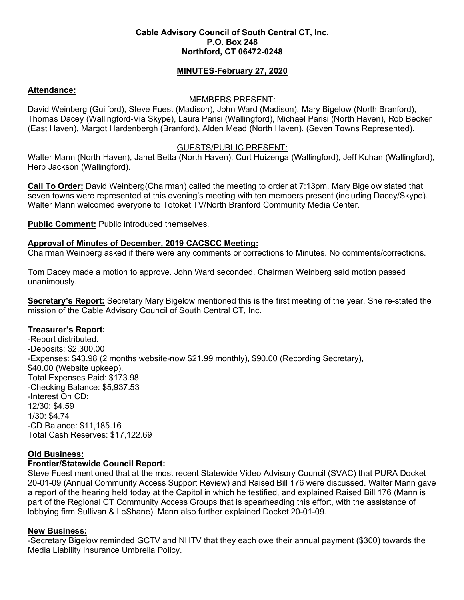#### **Cable Advisory Council of South Central CT, Inc. P.O. Box 248 Northford, CT 06472-0248**

# **MINUTES-February 27, 2020**

## **Attendance:**

### MEMBERS PRESENT:

David Weinberg (Guilford), Steve Fuest (Madison), John Ward (Madison), Mary Bigelow (North Branford), Thomas Dacey (Wallingford-Via Skype), Laura Parisi (Wallingford), Michael Parisi (North Haven), Rob Becker (East Haven), Margot Hardenbergh (Branford), Alden Mead (North Haven). (Seven Towns Represented).

### GUESTS/PUBLIC PRESENT:

Walter Mann (North Haven), Janet Betta (North Haven), Curt Huizenga (Wallingford), Jeff Kuhan (Wallingford), Herb Jackson (Wallingford).

**Call To Order:** David Weinberg(Chairman) called the meeting to order at 7:13pm. Mary Bigelow stated that seven towns were represented at this evening's meeting with ten members present (including Dacey/Skype). Walter Mann welcomed everyone to Totoket TV/North Branford Community Media Center.

**Public Comment:** Public introduced themselves.

# **Approval of Minutes of December, 2019 CACSCC Meeting:**

Chairman Weinberg asked if there were any comments or corrections to Minutes. No comments/corrections.

Tom Dacey made a motion to approve. John Ward seconded. Chairman Weinberg said motion passed unanimously.

**Secretary's Report:** Secretary Mary Bigelow mentioned this is the first meeting of the year. She re-stated the mission of the Cable Advisory Council of South Central CT, Inc.

#### **Treasurer's Report:**

-Report distributed. -Deposits: \$2,300.00 -Expenses: \$43.98 (2 months website-now \$21.99 monthly), \$90.00 (Recording Secretary), \$40.00 (Website upkeep). Total Expenses Paid: \$173.98 -Checking Balance: \$5,937.53 -Interest On CD: 12/30: \$4.59 1/30: \$4.74 -CD Balance: \$11,185.16 Total Cash Reserves: \$17,122.69

## **Old Business:**

#### **Frontier/Statewide Council Report:**

Steve Fuest mentioned that at the most recent Statewide Video Advisory Council (SVAC) that PURA Docket 20-01-09 (Annual Community Access Support Review) and Raised Bill 176 were discussed. Walter Mann gave a report of the hearing held today at the Capitol in which he testified, and explained Raised Bill 176 (Mann is part of the Regional CT Community Access Groups that is spearheading this effort, with the assistance of lobbying firm Sullivan & LeShane). Mann also further explained Docket 20-01-09.

#### **New Business:**

-Secretary Bigelow reminded GCTV and NHTV that they each owe their annual payment (\$300) towards the Media Liability Insurance Umbrella Policy.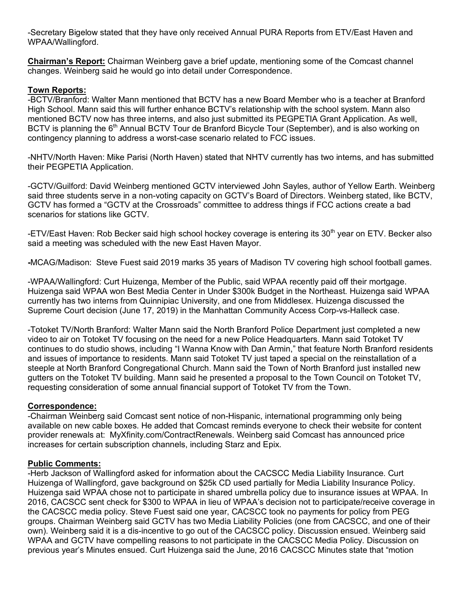-Secretary Bigelow stated that they have only received Annual PURA Reports from ETV/East Haven and WPAA/Wallingford.

**Chairman's Report:** Chairman Weinberg gave a brief update, mentioning some of the Comcast channel changes. Weinberg said he would go into detail under Correspondence.

#### **Town Reports:**

-BCTV/Branford: Walter Mann mentioned that BCTV has a new Board Member who is a teacher at Branford High School. Mann said this will further enhance BCTV's relationship with the school system. Mann also mentioned BCTV now has three interns, and also just submitted its PEGPETIA Grant Application. As well, BCTV is planning the 6<sup>th</sup> Annual BCTV Tour de Branford Bicycle Tour (September), and is also working on contingency planning to address a worst-case scenario related to FCC issues.

-NHTV/North Haven: Mike Parisi (North Haven) stated that NHTV currently has two interns, and has submitted their PEGPETIA Application.

-GCTV/Guilford: David Weinberg mentioned GCTV interviewed John Sayles, author of Yellow Earth. Weinberg said three students serve in a non-voting capacity on GCTV's Board of Directors. Weinberg stated, like BCTV, GCTV has formed a "GCTV at the Crossroads" committee to address things if FCC actions create a bad scenarios for stations like GCTV.

-ETV/East Haven: Rob Becker said high school hockey coverage is entering its 30<sup>th</sup> year on ETV. Becker also said a meeting was scheduled with the new East Haven Mayor.

**-**MCAG/Madison: Steve Fuest said 2019 marks 35 years of Madison TV covering high school football games.

-WPAA/Wallingford: Curt Huizenga, Member of the Public, said WPAA recently paid off their mortgage. Huizenga said WPAA won Best Media Center in Under \$300k Budget in the Northeast. Huizenga said WPAA currently has two interns from Quinnipiac University, and one from Middlesex. Huizenga discussed the Supreme Court decision (June 17, 2019) in the Manhattan Community Access Corp-vs-Halleck case.

-Totoket TV/North Branford: Walter Mann said the North Branford Police Department just completed a new video to air on Totoket TV focusing on the need for a new Police Headquarters. Mann said Totoket TV continues to do studio shows, including "I Wanna Know with Dan Armin," that feature North Branford residents and issues of importance to residents. Mann said Totoket TV just taped a special on the reinstallation of a steeple at North Branford Congregational Church. Mann said the Town of North Branford just installed new gutters on the Totoket TV building. Mann said he presented a proposal to the Town Council on Totoket TV, requesting consideration of some annual financial support of Totoket TV from the Town.

## **Correspondence:**

-Chairman Weinberg said Comcast sent notice of non-Hispanic, international programming only being available on new cable boxes. He added that Comcast reminds everyone to check their website for content provider renewals at: MyXfinity.com/ContractRenewals. Weinberg said Comcast has announced price increases for certain subscription channels, including Starz and Epix.

#### **Public Comments:**

-Herb Jackson of Wallingford asked for information about the CACSCC Media Liability Insurance. Curt Huizenga of Wallingford, gave background on \$25k CD used partially for Media Liability Insurance Policy. Huizenga said WPAA chose not to participate in shared umbrella policy due to insurance issues at WPAA. In 2016, CACSCC sent check for \$300 to WPAA in lieu of WPAA's decision not to participate/receive coverage in the CACSCC media policy. Steve Fuest said one year, CACSCC took no payments for policy from PEG groups. Chairman Weinberg said GCTV has two Media Liability Policies (one from CACSCC, and one of their own). Weinberg said it is a dis-incentive to go out of the CACSCC policy. Discussion ensued. Weinberg said WPAA and GCTV have compelling reasons to not participate in the CACSCC Media Policy. Discussion on previous year's Minutes ensued. Curt Huizenga said the June, 2016 CACSCC Minutes state that "motion